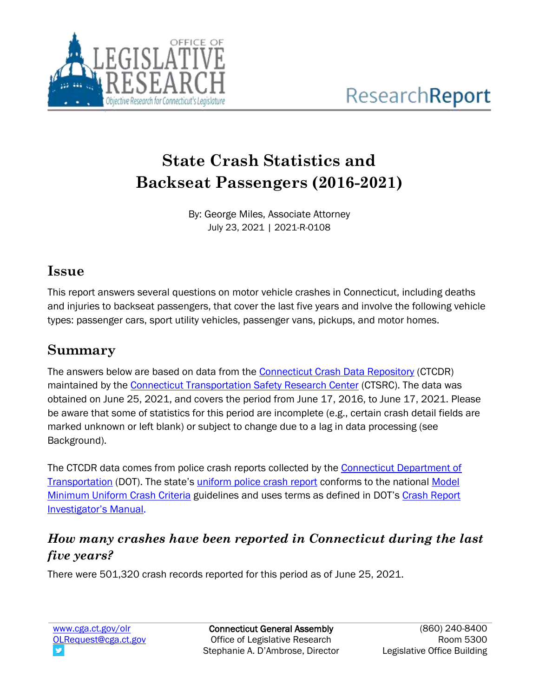

# **State Crash Statistics and Backseat Passengers (2016-2021)**

By: George Miles, Associate Attorney July 23, 2021 | 2021-R-0108

#### **Issue**

This report answers several questions on motor vehicle crashes in Connecticut, including deaths and injuries to backseat passengers, that cover the last five years and involve the following vehicle types: passenger cars, sport utility vehicles, passenger vans, pickups, and motor homes.

### **Summary**

The answers below are based on data from the [Connecticut Crash Data Repository](https://ctcrash.uconn.edu/) (CTCDR) maintained by the [Connecticut Transportation Safety Research Center](https://ctsrc.uconn.edu/) (CTSRC). The data was obtained on June 25, 2021, and covers the period from June 17, 2016, to June 17, 2021. Please be aware that some of statistics for this period are incomplete (e.g., certain crash detail fields are marked unknown or left blank) or subject to change due to a lag in data processing (see Background).

The CTCDR data comes from police crash reports collected by the Connecticut Department of [Transportation](https://portal.ct.gov/DOT/Programs/Crash-Data-Collection-Initiatives-and-Programs) (DOT). The state's [uniform police crash report](https://portal.ct.gov/-/media/DOT/documents/dTransportation_Safety/CrashData/FormPR1DemonstrationWithAllPagespdf.pdf) conforms to the national Model [Minimum Uniform Crash Criteria](https://www.nhtsa.gov/mmucc-1) guidelines and uses terms as defined in DOT's Crash Report [Investigator's Manual](https://www.cti.uconn.edu/Document.asp?DocID=8666).

### *How many crashes have been reported in Connecticut during the last five years?*

There were 501,320 crash records reported for this period as of June 25, 2021.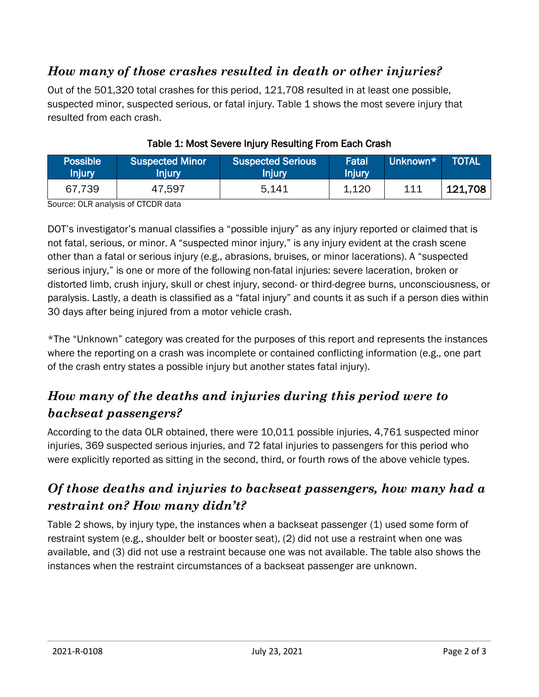#### *How many of those crashes resulted in death or other injuries?*

Out of the 501,320 total crashes for this period, 121,708 resulted in at least one possible, suspected minor, suspected serious, or fatal injury. Table 1 shows the most severe injury that resulted from each crash.

| <b>Possible</b><br><b>Injury</b> | <b>Suspected Minor</b><br>Injury | <b>Suspected Serious</b><br>Injury | Fatal<br>Injury | Unknown* | <b>TOTAL</b> |
|----------------------------------|----------------------------------|------------------------------------|-----------------|----------|--------------|
| 67,739                           | 47,597                           | 5.141                              | 1,120           | 111      | 121,708      |

#### Table 1: Most Severe Injury Resulting From Each Crash

Source: OLR analysis of CTCDR data

DOT's investigator's manual classifies a "possible injury" as any injury reported or claimed that is not fatal, serious, or minor. A "suspected minor injury," is any injury evident at the crash scene other than a fatal or serious injury (e.g., abrasions, bruises, or minor lacerations). A "suspected serious injury," is one or more of the following non-fatal injuries: severe laceration, broken or distorted limb, crush injury, skull or chest injury, second- or third-degree burns, unconsciousness, or paralysis. Lastly, a death is classified as a "fatal injury" and counts it as such if a person dies within 30 days after being injured from a motor vehicle crash.

\*The "Unknown" category was created for the purposes of this report and represents the instances where the reporting on a crash was incomplete or contained conflicting information (e.g., one part of the crash entry states a possible injury but another states fatal injury).

### *How many of the deaths and injuries during this period were to backseat passengers?*

According to the data OLR obtained, there were 10,011 possible injuries, 4,761 suspected minor injuries, 369 suspected serious injuries, and 72 fatal injuries to passengers for this period who were explicitly reported as sitting in the second, third, or fourth rows of the above vehicle types.

#### *Of those deaths and injuries to backseat passengers, how many had a restraint on? How many didn't?*

Table 2 shows, by injury type, the instances when a backseat passenger (1) used some form of restraint system (e.g., shoulder belt or booster seat), (2) did not use a restraint when one was available, and (3) did not use a restraint because one was not available. The table also shows the instances when the restraint circumstances of a backseat passenger are unknown.